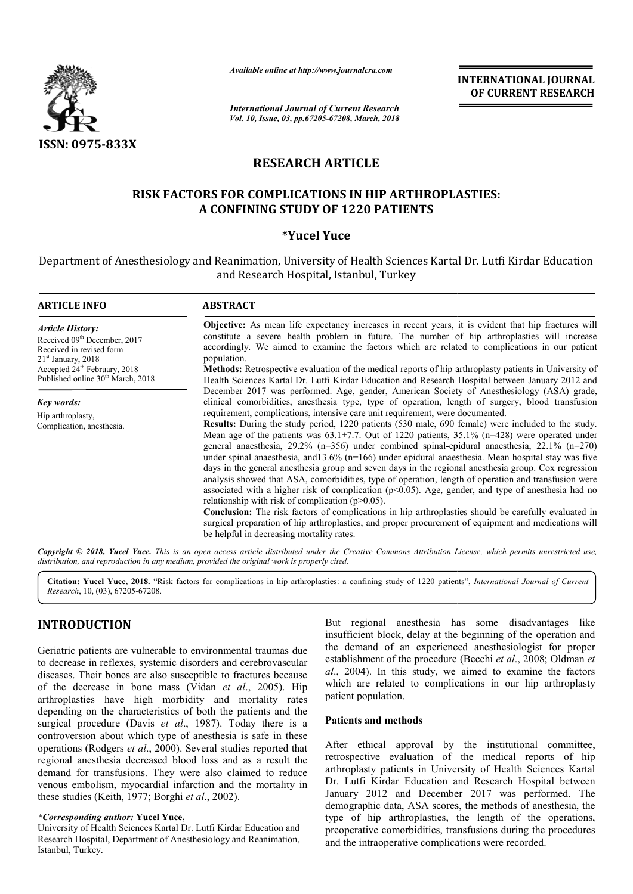

# **RESEARCH ARTICLE**

# **RISK FACTORS FOR COMPLICATIONS IN HIP ARTHROPLASTIES: FACTORS FOR COMPLICATIONS IN HIP A CONFINING STUDY OF 1220 PATIENTS**

### **\*Yucel Yuce**

|                                                                                                                                                                                                                                                                                                                                                                                                                                                                                                                                                                                                                                                                                                                                                                                                                                                                                                           | Available online at http://www.journalcra.com                                                                                                                                                                                                                                                                                                                                                                                                                                                                                                                                                                                   |                                                    | <b>INTERNATIONAL JOURNAL</b><br>OF CURRENT RESEARCH                                                                                                                                                                                                                                                                                                                                                                                                                                                                                                                                                                                                                                                                                                                                                                                                                                                                                                                                                                                                                            |
|-----------------------------------------------------------------------------------------------------------------------------------------------------------------------------------------------------------------------------------------------------------------------------------------------------------------------------------------------------------------------------------------------------------------------------------------------------------------------------------------------------------------------------------------------------------------------------------------------------------------------------------------------------------------------------------------------------------------------------------------------------------------------------------------------------------------------------------------------------------------------------------------------------------|---------------------------------------------------------------------------------------------------------------------------------------------------------------------------------------------------------------------------------------------------------------------------------------------------------------------------------------------------------------------------------------------------------------------------------------------------------------------------------------------------------------------------------------------------------------------------------------------------------------------------------|----------------------------------------------------|--------------------------------------------------------------------------------------------------------------------------------------------------------------------------------------------------------------------------------------------------------------------------------------------------------------------------------------------------------------------------------------------------------------------------------------------------------------------------------------------------------------------------------------------------------------------------------------------------------------------------------------------------------------------------------------------------------------------------------------------------------------------------------------------------------------------------------------------------------------------------------------------------------------------------------------------------------------------------------------------------------------------------------------------------------------------------------|
|                                                                                                                                                                                                                                                                                                                                                                                                                                                                                                                                                                                                                                                                                                                                                                                                                                                                                                           | <b>International Journal of Current Research</b><br>Vol. 10, Issue, 03, pp.67205-67208, March, 2018                                                                                                                                                                                                                                                                                                                                                                                                                                                                                                                             |                                                    |                                                                                                                                                                                                                                                                                                                                                                                                                                                                                                                                                                                                                                                                                                                                                                                                                                                                                                                                                                                                                                                                                |
| ISSN: 0975-833X                                                                                                                                                                                                                                                                                                                                                                                                                                                                                                                                                                                                                                                                                                                                                                                                                                                                                           |                                                                                                                                                                                                                                                                                                                                                                                                                                                                                                                                                                                                                                 |                                                    |                                                                                                                                                                                                                                                                                                                                                                                                                                                                                                                                                                                                                                                                                                                                                                                                                                                                                                                                                                                                                                                                                |
|                                                                                                                                                                                                                                                                                                                                                                                                                                                                                                                                                                                                                                                                                                                                                                                                                                                                                                           | <b>RESEARCH ARTICLE</b>                                                                                                                                                                                                                                                                                                                                                                                                                                                                                                                                                                                                         |                                                    |                                                                                                                                                                                                                                                                                                                                                                                                                                                                                                                                                                                                                                                                                                                                                                                                                                                                                                                                                                                                                                                                                |
|                                                                                                                                                                                                                                                                                                                                                                                                                                                                                                                                                                                                                                                                                                                                                                                                                                                                                                           | <b>RISK FACTORS FOR COMPLICATIONS IN HIP ARTHROPLASTIES:</b><br>A CONFINING STUDY OF 1220 PATIENTS                                                                                                                                                                                                                                                                                                                                                                                                                                                                                                                              |                                                    |                                                                                                                                                                                                                                                                                                                                                                                                                                                                                                                                                                                                                                                                                                                                                                                                                                                                                                                                                                                                                                                                                |
|                                                                                                                                                                                                                                                                                                                                                                                                                                                                                                                                                                                                                                                                                                                                                                                                                                                                                                           | *Yucel Yuce                                                                                                                                                                                                                                                                                                                                                                                                                                                                                                                                                                                                                     |                                                    |                                                                                                                                                                                                                                                                                                                                                                                                                                                                                                                                                                                                                                                                                                                                                                                                                                                                                                                                                                                                                                                                                |
|                                                                                                                                                                                                                                                                                                                                                                                                                                                                                                                                                                                                                                                                                                                                                                                                                                                                                                           | and Research Hospital, Istanbul, Turkey                                                                                                                                                                                                                                                                                                                                                                                                                                                                                                                                                                                         |                                                    | Department of Anesthesiology and Reanimation, University of Health Sciences Kartal Dr. Lutfi Kirdar Education                                                                                                                                                                                                                                                                                                                                                                                                                                                                                                                                                                                                                                                                                                                                                                                                                                                                                                                                                                  |
| <b>ARTICLE INFO</b>                                                                                                                                                                                                                                                                                                                                                                                                                                                                                                                                                                                                                                                                                                                                                                                                                                                                                       | <b>ABSTRACT</b>                                                                                                                                                                                                                                                                                                                                                                                                                                                                                                                                                                                                                 |                                                    |                                                                                                                                                                                                                                                                                                                                                                                                                                                                                                                                                                                                                                                                                                                                                                                                                                                                                                                                                                                                                                                                                |
| <b>Article History:</b><br>Received 09th December, 2017<br>Received in revised form<br>$21st$ January, 2018<br>Accepted 24 <sup>th</sup> February, 2018<br>Published online 30 <sup>th</sup> March, 2018                                                                                                                                                                                                                                                                                                                                                                                                                                                                                                                                                                                                                                                                                                  | Objective: As mean life expectancy increases in recent years, it is evident that hip fractures will<br>constitute a severe health problem in future. The number of hip arthroplasties will increase<br>accordingly. We aimed to examine the factors which are related to complications in our patient<br>population.<br>Methods: Retrospective evaluation of the medical reports of hip arthroplasty patients in University of<br>Health Sciences Kartal Dr. Lutfi Kirdar Education and Research Hospital between January 2012 and<br>December 2017 was performed. Age, gender, American Society of Anesthesiology (ASA) grade, |                                                    |                                                                                                                                                                                                                                                                                                                                                                                                                                                                                                                                                                                                                                                                                                                                                                                                                                                                                                                                                                                                                                                                                |
| <b>Key words:</b><br>Hip arthroplasty,<br>Complication, anesthesia.                                                                                                                                                                                                                                                                                                                                                                                                                                                                                                                                                                                                                                                                                                                                                                                                                                       | requirement, complications, intensive care unit requirement, were documented.<br>relationship with risk of complication $(p>0.05)$ .<br>be helpful in decreasing mortality rates.                                                                                                                                                                                                                                                                                                                                                                                                                                               |                                                    | clinical comorbidities, anesthesia type, type of operation, length of surgery, blood transfusion<br>Results: During the study period, 1220 patients (530 male, 690 female) were included to the study.<br>Mean age of the patients was $63.1\pm7.7$ . Out of 1220 patients, 35.1% (n=428) were operated under<br>general anaesthesia, $29.2\%$ (n=356) under combined spinal-epidural anaesthesia, $22.1\%$ (n=270)<br>under spinal anaesthesia, and $13.6\%$ (n=166) under epidural anaesthesia. Mean hospital stay was five<br>days in the general anesthesia group and seven days in the regional anesthesia group. Cox regression<br>analysis showed that ASA, comorbidities, type of operation, length of operation and transfusion were<br>associated with a higher risk of complication ( $p<0.05$ ). Age, gender, and type of anesthesia had no<br><b>Conclusion:</b> The risk factors of complications in hip arthroplasties should be carefully evaluated in<br>surgical preparation of hip arthroplasties, and proper procurement of equipment and medications will |
|                                                                                                                                                                                                                                                                                                                                                                                                                                                                                                                                                                                                                                                                                                                                                                                                                                                                                                           | distribution, and reproduction in any medium, provided the original work is properly cited.                                                                                                                                                                                                                                                                                                                                                                                                                                                                                                                                     |                                                    | Copyright © 2018, Yucel Yuce. This is an open access article distributed under the Creative Commons Attribution License, which permits unrestricted use,                                                                                                                                                                                                                                                                                                                                                                                                                                                                                                                                                                                                                                                                                                                                                                                                                                                                                                                       |
| Research, 10, (03), 67205-67208.                                                                                                                                                                                                                                                                                                                                                                                                                                                                                                                                                                                                                                                                                                                                                                                                                                                                          |                                                                                                                                                                                                                                                                                                                                                                                                                                                                                                                                                                                                                                 |                                                    | Citation: Yucel Yuce, 2018. "Risk factors for complications in hip arthroplasties: a confining study of 1220 patients", International Journal of Current                                                                                                                                                                                                                                                                                                                                                                                                                                                                                                                                                                                                                                                                                                                                                                                                                                                                                                                       |
| <b>INTRODUCTION</b><br>Geriatric patients are vulnerable to environmental traumas due<br>to decrease in reflexes, systemic disorders and cerebrovascular<br>diseases. Their bones are also susceptible to fractures because<br>of the decrease in bone mass (Vidan et al., 2005). Hip<br>arthroplasties have high morbidity and mortality rates<br>depending on the characteristics of both the patients and the<br>surgical procedure (Davis et al., 1987). Today there is a<br>controversion about which type of anesthesia is safe in these<br>operations (Rodgers et al., 2000). Several studies reported that<br>regional anesthesia decreased blood loss and as a result the<br>demand for transfusions. They were also claimed to reduce<br>venous embolism, myocardial infarction and the mortality in<br>these studies (Keith, 1977; Borghi et al., 2002).<br>*Corresponding author: Yucel Yuce, |                                                                                                                                                                                                                                                                                                                                                                                                                                                                                                                                                                                                                                 | patient population.<br><b>Patients and methods</b> | But regional anesthesia has some disadvantages like<br>insufficient block, delay at the beginning of the operation and<br>the demand of an experienced anesthesiologist for proper<br>establishment of the procedure (Becchi et al., 2008; Oldman et<br>al., 2004). In this study, we aimed to examine the factors<br>which are related to complications in our hip arthroplasty<br>After ethical approval by the institutional committee,<br>retrospective evaluation of the medical reports of hip<br>arthroplasty patients in University of Health Sciences Kartal<br>Dr. Lutfi Kirdar Education and Research Hospital between<br>January 2012 and December 2017 was performed. The<br>demographic data, ASA scores, the methods of anesthesia, the<br>type of hip arthroplasties, the length of the operations,                                                                                                                                                                                                                                                            |
| University of Health Sciences Kartal Dr. Lutfi Kirdar Education and                                                                                                                                                                                                                                                                                                                                                                                                                                                                                                                                                                                                                                                                                                                                                                                                                                       |                                                                                                                                                                                                                                                                                                                                                                                                                                                                                                                                                                                                                                 |                                                    | preoperative comorbidities, transfusions during the procedures                                                                                                                                                                                                                                                                                                                                                                                                                                                                                                                                                                                                                                                                                                                                                                                                                                                                                                                                                                                                                 |

# **INTRODUCTION**

#### **Patients and methods**

After ethical approval by the institutional committee, retrospective evaluation of the medical reports of hip arthroplasty patients in University of Health Sciences Kartal Dr. Lutfi Kirdar Education and Research Hospital between January 2012 and December 2017 was performed. The demographic data, ASA scores, the methods of anesthesia, the type of hip arthroplasties, the length of the operations, preoperative comorbidities, transfusions during the procedures and the intraoperative complications were recorded. *al.*, 2004). In this study, we aimed to examine the factors<br>which are related to complications in our hip arthroplasty<br>patient population.<br>**Patients and methods**<br>After ethical approval by the institutional committee,<br>retr

*<sup>\*</sup>Corresponding author:* **Yucel Yuce,**

University of Health Sciences Kartal Dr. Lutfi Kirdar Education and Research Hospital, Department of Anesthesiology and Reanimation, Istanbul, Turkey.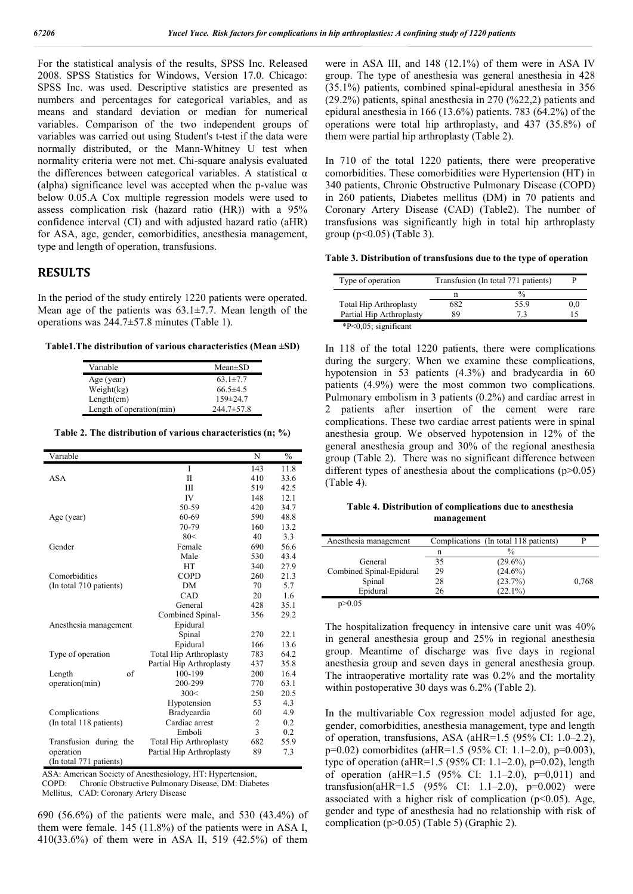For the statistical analysis of the results, SPSS Inc. Released 2008. SPSS Statistics for Windows, Version 17.0. Chicago: SPSS Inc. was used. Descriptive statistics are presented as numbers and percentages for categorical variables, and as means and standard deviation or median for numerical variables. Comparison of the two independent groups of variables was carried out using Student's t-test if the data were normally distributed, or the Mann-Whitney U test when normality criteria were not met. Chi-square analysis evaluated the differences between categorical variables. A statistical  $\alpha$ (alpha) significance level was accepted when the p-value was below 0.05.A Cox multiple regression models were used to assess complication risk (hazard ratio (HR)) with a 95% confidence interval (CI) and with adjusted hazard ratio (aHR) for ASA, age, gender, comorbidities, anesthesia management, type and length of operation, transfusions.

### **RESULTS**

In the period of the study entirely 1220 patients were operated. Mean age of the patients was  $63.1\pm7.7$ . Mean length of the operations was 244.7±57.8 minutes (Table 1).

**Table1.The distribution of various characteristics (Mean ±SD)**

| Variable                 | $Mean \pm SD$    |
|--------------------------|------------------|
| Age (year)               | $63.1 \pm 7.7$   |
| Weight(kg)               | $66.5 \pm 4.5$   |
| Length(cm)               | $159 \pm 24.7$   |
| Length of operation(min) | $244.7 \pm 57.8$ |

**Table 2. The distribution of various characteristics (n; %)**

| Variable                |                               | N   | $\frac{0}{0}$ |
|-------------------------|-------------------------------|-----|---------------|
|                         | I                             | 143 | 11.8          |
| <b>ASA</b>              | $_{\rm II}$                   | 410 | 33.6          |
|                         | Ш                             | 519 | 42.5          |
|                         | <b>IV</b>                     | 148 | 12.1          |
|                         | 50-59                         | 420 | 34.7          |
| Age (year)              | 60-69                         | 590 | 48.8          |
|                         | 70-79                         | 160 | 13.2          |
|                         | 80<                           | 40  | 3.3           |
| Gender                  | Female                        | 690 | 56.6          |
|                         | Male                          | 530 | 43.4          |
|                         | <b>HT</b>                     | 340 | 27.9          |
| Comorbidities           | <b>COPD</b>                   | 260 | 21.3          |
| (In total 710 patients) | <b>DM</b>                     | 70  | 5.7           |
|                         | CAD                           | 20  | 1.6           |
|                         | General                       | 428 | 35.1          |
|                         | Combined Spinal-              | 356 | 29.2          |
| Anesthesia management   | Epidural                      |     |               |
|                         | Spinal                        | 270 | 22.1          |
|                         | Epidural                      | 166 | 13.6          |
| Type of operation       | <b>Total Hip Arthroplasty</b> | 783 | 64.2          |
|                         | Partial Hip Arthroplasty      | 437 | 35.8          |
| of<br>Length            | 100-199                       | 200 | 16.4          |
| operation(min)          | 200-299                       | 770 | 63.1          |
|                         | 300<                          | 250 | 20.5          |
|                         | Hypotension                   | 53  | 4.3           |
| Complications           | Bradycardia                   | 60  | 4.9           |
| (In total 118 patients) | Cardiac arrest                | 2   | 0.2           |
|                         | Emboli                        | 3   | 0.2           |
| Transfusion during the  | <b>Total Hip Arthroplasty</b> | 682 | 55.9          |
| operation               | Partial Hip Arthroplasty      | 89  | 7.3           |
| (In total 771 patients) |                               |     |               |

ASA: American Society of Anesthesiology, HT: Hypertension,

 COPD: Chronic Obstructive Pulmonary Disease, DM: Diabetes Mellitus, CAD: Coronary Artery Disease

690 (56.6%) of the patients were male, and 530 (43.4%) of them were female. 145 (11.8%) of the patients were in ASA I, 410(33.6%) of them were in ASA II, 519 (42.5%) of them

were in ASA III, and 148 (12.1%) of them were in ASA IV group. The type of anesthesia was general anesthesia in 428 (35.1%) patients, combined spinal-epidural anesthesia in 356 (29.2%) patients, spinal anesthesia in 270 (%22,2) patients and epidural anesthesia in 166 (13.6%) patients. 783 (64.2%) of the operations were total hip arthroplasty, and 437 (35.8%) of them were partial hip arthroplasty (Table 2).

In 710 of the total 1220 patients, there were preoperative comorbidities. These comorbidities were Hypertension (HT) in 340 patients, Chronic Obstructive Pulmonary Disease (COPD) in 260 patients, Diabetes mellitus (DM) in 70 patients and Coronary Artery Disease (CAD) (Table2). The number of transfusions was significantly high in total hip arthroplasty group ( $p$ <0.05) (Table 3).

**Table 3. Distribution of transfusions due to the type of operation**

| Type of operation             | Transfusion (In total 771 patients) |      |     |
|-------------------------------|-------------------------------------|------|-----|
|                               | n                                   |      |     |
| <b>Total Hip Arthroplasty</b> | 682                                 | 55.9 | 0.0 |
| Partial Hip Arthroplasty      | 89                                  | 72   |     |
| $*P<0.05$ ; significant       |                                     |      |     |

In 118 of the total 1220 patients, there were complications during the surgery. When we examine these complications, hypotension in 53 patients (4.3%) and bradycardia in 60 patients (4.9%) were the most common two complications. Pulmonary embolism in 3 patients (0.2%) and cardiac arrest in 2 patients after insertion of the cement were rare complications. These two cardiac arrest patients were in spinal anesthesia group. We observed hypotension in 12% of the general anesthesia group and 30% of the regional anesthesia group (Table 2). There was no significant difference between different types of anesthesia about the complications  $(p>0.05)$ (Table 4).

**Table 4. Distribution of complications due to anesthesia management**

| Anesthesia management    |    | Complications (In total 118 patients) |       |
|--------------------------|----|---------------------------------------|-------|
|                          | n  | $\frac{0}{0}$                         |       |
| General                  | 35 | $(29.6\%)$                            |       |
| Combined Spinal-Epidural | 29 | $(24.6\%)$                            |       |
| Spinal                   | 28 | (23.7%)                               | 0,768 |
| Epidural                 | 26 | $(22.1\%)$                            |       |
| p>0.05                   |    |                                       |       |

The hospitalization frequency in intensive care unit was 40% in general anesthesia group and 25% in regional anesthesia group. Meantime of discharge was five days in regional anesthesia group and seven days in general anesthesia group. The intraoperative mortality rate was 0.2% and the mortality within postoperative 30 days was 6.2% (Table 2).

In the multivariable Cox regression model adjusted for age, gender, comorbidities, anesthesia management, type and length of operation, transfusions, ASA (aHR=1.5 (95% CI: 1.0–2.2), p=0.02) comorbidites (aHR=1.5 (95% CI: 1.1–2.0), p=0.003), type of operation (aHR=1.5 (95% CI: 1.1–2.0), p=0.02), length of operation (aHR=1.5  $(95\% \text{ CI: } 1.1-2.0)$ , p=0,011) and transfusion(aHR= $1.5$  (95% CI: 1.1–2.0), p=0.002) were associated with a higher risk of complication  $(p<0.05)$ . Age, gender and type of anesthesia had no relationship with risk of complication (p>0.05) (Table 5) (Graphic 2).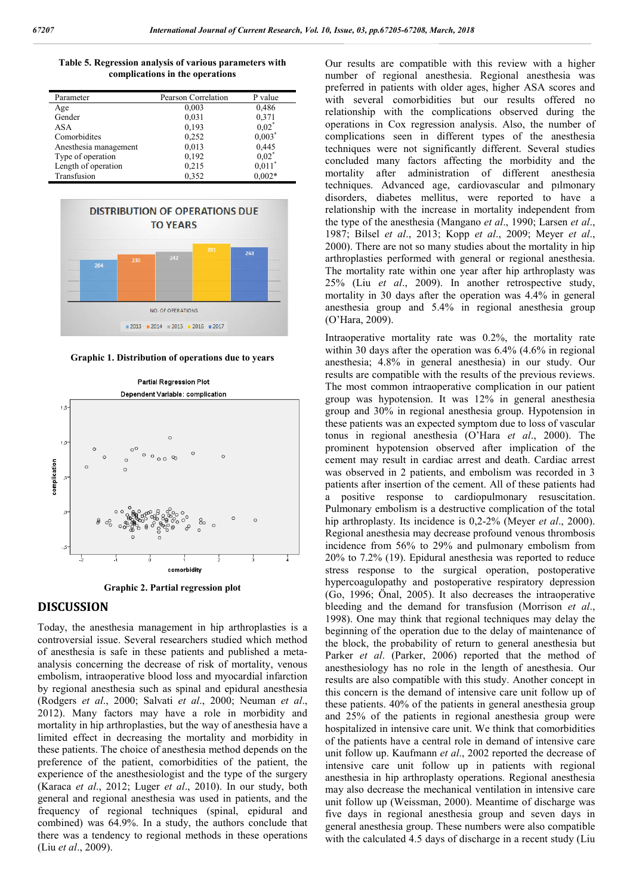**Table 5. Regression analysis of various parameters with complications in the operations**

| Parameter             | Pearson Correlation | P value              |
|-----------------------|---------------------|----------------------|
| Age                   | 0,003               | 0,486                |
| Gender                | 0.031               | 0.371                |
| ASA                   | 0,193               | $0.02^{\degree}$     |
| Comorbidites          | 0,252               | $0.003$ <sup>*</sup> |
| Anesthesia management | 0,013               | 0,445                |
| Type of operation     | 0,192               | $0.02^{\degree}$     |
| Length of operation   | 0.215               | 0.011                |
| Transfusion           | 0,352               | $0.002*$             |



**Graphic 1. Distribution of operations due to years**



**Graphic 2. Partial regression plot**

#### **DISCUSSION**

Today, the anesthesia management in hip arthroplasties is a controversial issue. Several researchers studied which method of anesthesia is safe in these patients and published a metaanalysis concerning the decrease of risk of mortality, venous embolism, intraoperative blood loss and myocardial infarction by regional anesthesia such as spinal and epidural anesthesia (Rodgers *et al*., 2000; Salvati *et al*., 2000; Neuman *et al*., 2012). Many factors may have a role in morbidity and mortality in hip arthroplasties, but the way of anesthesia have a limited effect in decreasing the mortality and morbidity in these patients. The choice of anesthesia method depends on the preference of the patient, comorbidities of the patient, the experience of the anesthesiologist and the type of the surgery (Karaca *et al*., 2012; Luger *et al*., 2010). In our study, both general and regional anesthesia was used in patients, and the frequency of regional techniques (spinal, epidural and combined) was 64.9%. In a study, the authors conclude that there was a tendency to regional methods in these operations (Liu *et al*., 2009).

Our results are compatible with this review with a higher number of regional anesthesia. Regional anesthesia was preferred in patients with older ages, higher ASA scores and with several comorbidities but our results offered no relationship with the complications observed during the operations in Cox regression analysis. Also, the number of complications seen in different types of the anesthesia techniques were not significantly different. Several studies concluded many factors affecting the morbidity and the mortality after administration of different anesthesia techniques. Advanced age, cardiovascular and pılmonary disorders, diabetes mellitus, were reported to have a relationship with the increase in mortality independent from the type of the anesthesia (Mangano *et al*., 1990; Larsen *et al*., 1987; Bilsel *et al*., 2013; Kopp *et al*., 2009; Meyer *et al*., 2000). There are not so many studies about the mortality in hip arthroplasties performed with general or regional anesthesia. The mortality rate within one year after hip arthroplasty was 25% (Liu *et al*., 2009). In another retrospective study, mortality in 30 days after the operation was 4.4% in general anesthesia group and 5.4% in regional anesthesia group (O'Hara, 2009).

Intraoperative mortality rate was 0.2%, the mortality rate within 30 days after the operation was 6.4% (4.6% in regional anesthesia; 4.8% in general anesthesia) in our study. Our results are compatible with the results of the previous reviews. The most common intraoperative complication in our patient group was hypotension. It was 12% in general anesthesia group and 30% in regional anesthesia group. Hypotension in these patients was an expected symptom due to loss of vascular tonus in regional anesthesia (O'Hara *et al*., 2000). The prominent hypotension observed after implication of the cement may result in cardiac arrest and death. Cardiac arrest was observed in 2 patients, and embolism was recorded in 3 patients after insertion of the cement. All of these patients had a positive response to cardiopulmonary resuscitation. Pulmonary embolism is a destructive complication of the total hip arthroplasty. Its incidence is 0,2-2% (Meyer *et al*., 2000). Regional anesthesia may decrease profound venous thrombosis incidence from 56% to 29% and pulmonary embolism from 20% to 7.2% (19). Epidural anesthesia was reported to reduce stress response to the surgical operation, postoperative hypercoagulopathy and postoperative respiratory depression (Go, 1996; Önal, 2005). It also decreases the intraoperative bleeding and the demand for transfusion (Morrison *et al*., 1998). One may think that regional techniques may delay the beginning of the operation due to the delay of maintenance of the block, the probability of return to general anesthesia but Parker *et al*. (Parker, 2006) reported that the method of anesthesiology has no role in the length of anesthesia. Our results are also compatible with this study. Another concept in this concern is the demand of intensive care unit follow up of these patients. 40% of the patients in general anesthesia group and 25% of the patients in regional anesthesia group were hospitalized in intensive care unit. We think that comorbidities of the patients have a central role in demand of intensive care unit follow up. Kaufmann *et al*., 2002 reported the decrease of intensive care unit follow up in patients with regional anesthesia in hip arthroplasty operations. Regional anesthesia may also decrease the mechanical ventilation in intensive care unit follow up (Weissman, 2000). Meantime of discharge was five days in regional anesthesia group and seven days in general anesthesia group. These numbers were also compatible with the calculated 4.5 days of discharge in a recent study (Liu